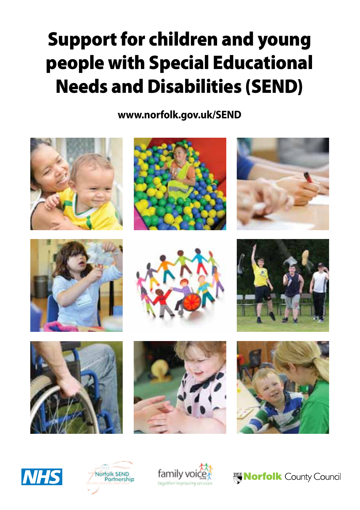# Support for children and young people with Special Educational Needs and Disabilities (SEND)

**www.norfolk.gov.uk/SEND**

























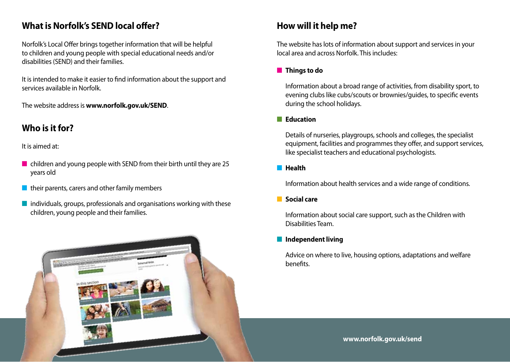### **What is Norfolk's SEND local offer?**

Norfolk's Local Offer brings together information that will be helpful to children and young people with special educational needs and/or disabilities (SEND) and their families.

It is intended to make it easier to find information about the support and services available in Norfolk.

The website address is **www.norfolk.gov.uk/SEND**.

# **Who is it for?**

It is aimed at:

- $\blacksquare$  children and young people with SEND from their birth until they are 25 years old
- $\blacksquare$  their parents, carers and other family members
- $\blacksquare$  individuals, groups, professionals and organisations working with these children, young people and their families.



# **How will it help me?**

The website has lots of information about support and services in your local area and across Norfolk. This includes:

#### **n** Things to do

Information about a broad range of activities, from disability sport, to evening clubs like cubs/scouts or brownies/guides, to specific events during the school holidays.

#### **n Education**

Details of nurseries, playgroups, schools and colleges, the specialist equipment, facilities and programmes they offer, and support services, like specialist teachers and educational psychologists.

#### **n** Health

Information about health services and a wide range of conditions.

#### **n** Social care

Information about social care support, such as the Children with Disabilities Team.

#### **n** Independent living

Advice on where to live, housing options, adaptations and welfare benefits.